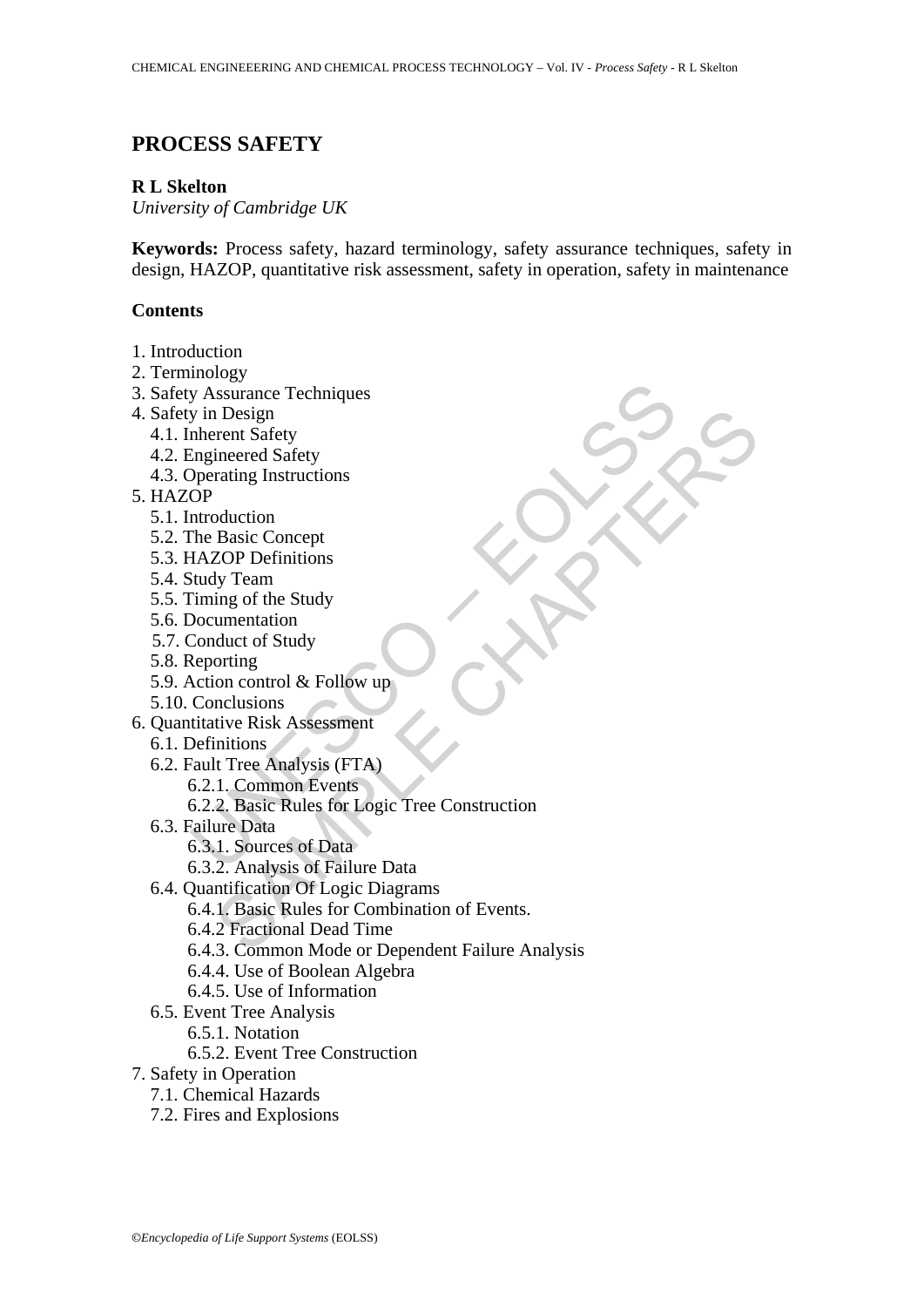# **PROCESS SAFETY**

### **R L Skelton**

*University of Cambridge UK* 

**Keywords:** Process safety, hazard terminology, safety assurance techniques, safety in design, HAZOP, quantitative risk assessment, safety in operation, safety in maintenance

### **Contents**

- 1. Introduction
- 2. Terminology
- 3. Safety Assurance Techniques
- 4. Safety in Design
	- 4.1. Inherent Safety
	- 4.2. Engineered Safety
	- 4.3. Operating Instructions
- 5. HAZOP
	- 5.1. Introduction
	- 5.2. The Basic Concept
	- 5.3. HAZOP Definitions
	- 5.4. Study Team
	- 5.5. Timing of the Study
	- 5.6. Documentation
	- 5.7. Conduct of Study
	- 5.8. Reporting
	- 5.9. Action control & Follow up
	- 5.10. Conclusions
- 6. Quantitative Risk Assessment
	- 6.1. Definitions
	- 6.2. Fault Tree Analysis (FTA)
		- 6.2.1. Common Events
- y Assurance Techniques<br>
y in Design<br>
onleared Safety<br>
Deperating Instructions<br>
OP<br>
IMCOU Definitions<br>
OP<br>
Introduction<br>
OP<br>
Introduction<br>
Study Team<br>
Timing of the Study<br>
Documentation<br>
NatzOP Definitions<br>
Naty Team<br>
Natio 6.2.2. Basic Rules for Logic Tree Construction
	- 6.3. Failure Data
		- 6.3.1. Sources of Data
		- 6.3.2. Analysis of Failure Data
	- 6.4. Quantification Of Logic Diagrams
- nent Safety<br>
rincered Safety<br>
rincered Safety<br>
rating Instructions<br>
duction<br>
Basic Concept<br>
ZOP Definitions<br>
mentation<br>
ing of the Study<br>
unentation<br>
on control & Follow up<br>
nelusions<br>
it if the Analysis (FTA)<br>
1. Common E 6.4.1. Basic Rules for Combination of Events.
	- 6.4.2 Fractional Dead Time
	- 6.4.3. Common Mode or Dependent Failure Analysis
	- 6.4.4. Use of Boolean Algebra
	- 6.4.5. Use of Information
	- 6.5. Event Tree Analysis
		- 6.5.1. Notation
		- 6.5.2. Event Tree Construction
- 7. Safety in Operation
	- 7.1. Chemical Hazards
	- 7.2. Fires and Explosions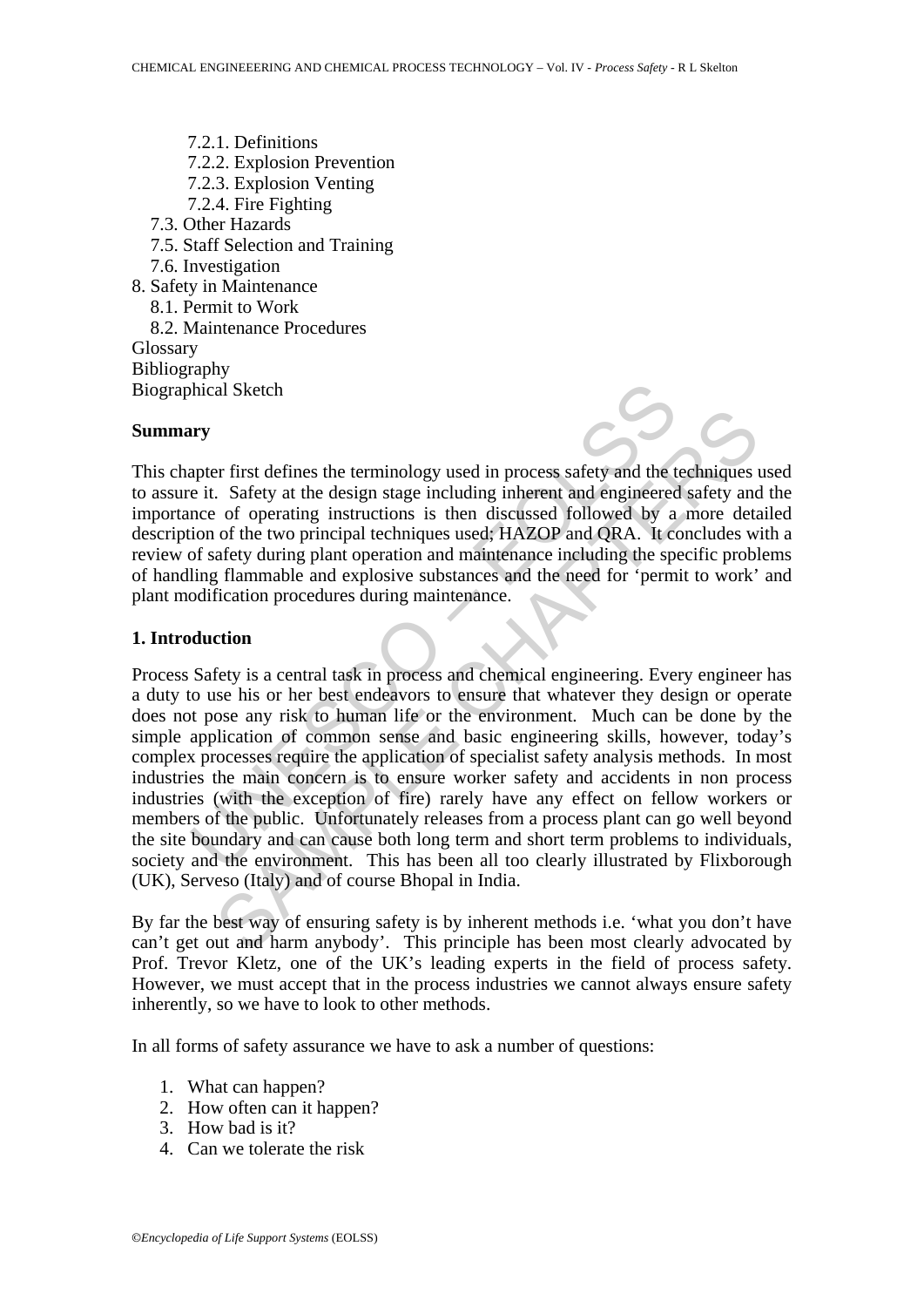7.2.1. Definitions 7.2.2. Explosion Prevention 7.2.3. Explosion Venting 7.2.4. Fire Fighting 7.3. Other Hazards 7.5. Staff Selection and Training 7.6. Investigation 8. Safety in Maintenance 8.1. Permit to Work 8.2. Maintenance Procedures Glossary Bibliography Biographical Sketch

#### **Summary**

This chapter first defines the terminology used in process safety and the techniques used to assure it. Safety at the design stage including inherent and engineered safety and the importance of operating instructions is then discussed followed by a more detailed description of the two principal techniques used; HAZOP and QRA. It concludes with a review of safety during plant operation and maintenance including the specific problems of handling flammable and explosive substances and the need for 'permit to work' and plant modification procedures during maintenance.

#### **1. Introduction**

The shall see that defines the terminology used in process safety and the e it. Safety at the design stage including inherent and engineered<br>not of the two principal techniques used, HAZOP and QRA. It confides<br>of safety du er first defines the terminology used in process safety and the techniques<br>
. Safety at the design stage including inherent and engineered safety and<br>
of operating instructions is then discussed followed by a more det<br>
of Process Safety is a central task in process and chemical engineering. Every engineer has a duty to use his or her best endeavors to ensure that whatever they design or operate does not pose any risk to human life or the environment. Much can be done by the simple application of common sense and basic engineering skills, however, today's complex processes require the application of specialist safety analysis methods. In most industries the main concern is to ensure worker safety and accidents in non process industries (with the exception of fire) rarely have any effect on fellow workers or members of the public. Unfortunately releases from a process plant can go well beyond the site boundary and can cause both long term and short term problems to individuals, society and the environment. This has been all too clearly illustrated by Flixborough (UK), Serveso (Italy) and of course Bhopal in India.

By far the best way of ensuring safety is by inherent methods i.e. 'what you don't have can't get out and harm anybody'. This principle has been most clearly advocated by Prof. Trevor Kletz, one of the UK's leading experts in the field of process safety. However, we must accept that in the process industries we cannot always ensure safety inherently, so we have to look to other methods.

In all forms of safety assurance we have to ask a number of questions:

- 1. What can happen?
- 2. How often can it happen?
- 3. How bad is it?
- 4. Can we tolerate the risk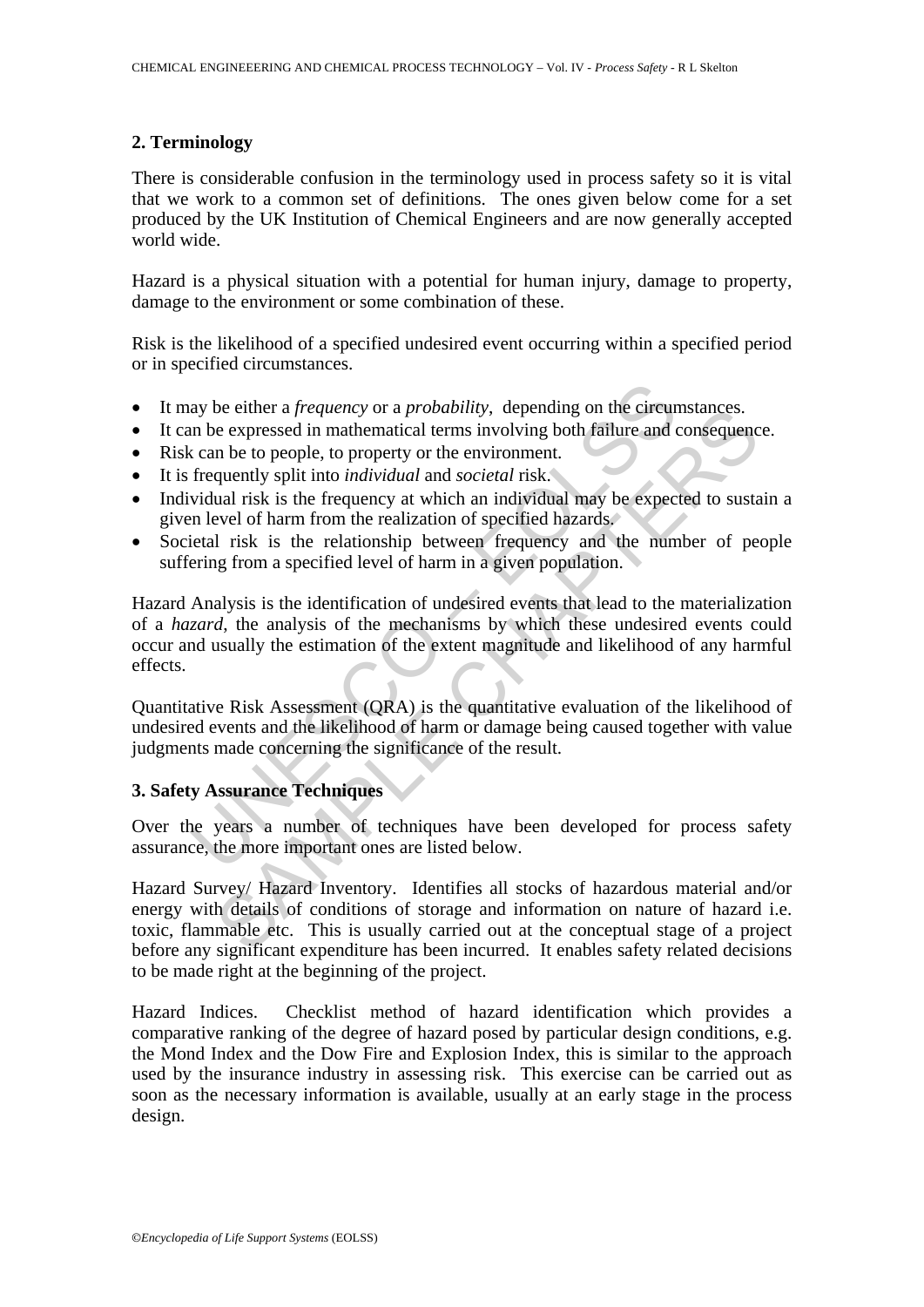## **2. Terminology**

There is considerable confusion in the terminology used in process safety so it is vital that we work to a common set of definitions. The ones given below come for a set produced by the UK Institution of Chemical Engineers and are now generally accepted world wide.

Hazard is a physical situation with a potential for human injury, damage to property, damage to the environment or some combination of these.

Risk is the likelihood of a specified undesired event occurring within a specified period or in specified circumstances.

- It may be either a *frequency* or a *probability*, depending on the circumstances.
- It can be expressed in mathematical terms involving both failure and consequence.
- Risk can be to people, to property or the environment.
- It is frequently split into *individual* and *societal* risk.
- Individual risk is the frequency at which an individual may be expected to sustain a given level of harm from the realization of specified hazards.
- Societal risk is the relationship between frequency and the number of people suffering from a specified level of harm in a given population.

ay be either a *frequency* or a *probability*, depending on the circum be expressed in mathematical terms involving both failure and c can be to people, to property or the environment. frequently split into *individual* an be einer a *prequency* or a *probabitry*, depending on the creumstances.<br>
e expressed in mathematical terms involving both failure and consequence<br>
expressed in mathematical terms involving both failure and consequence<br>
qu Hazard Analysis is the identification of undesired events that lead to the materialization of a *hazard*, the analysis of the mechanisms by which these undesired events could occur and usually the estimation of the extent magnitude and likelihood of any harmful effects.

Quantitative Risk Assessment (QRA) is the quantitative evaluation of the likelihood of undesired events and the likelihood of harm or damage being caused together with value judgments made concerning the significance of the result.

## **3. Safety Assurance Techniques**

Over the years a number of techniques have been developed for process safety assurance, the more important ones are listed below.

Hazard Survey/ Hazard Inventory. Identifies all stocks of hazardous material and/or energy with details of conditions of storage and information on nature of hazard i.e. toxic, flammable etc. This is usually carried out at the conceptual stage of a project before any significant expenditure has been incurred. It enables safety related decisions to be made right at the beginning of the project.

Hazard Indices. Checklist method of hazard identification which provides a comparative ranking of the degree of hazard posed by particular design conditions, e.g. the Mond Index and the Dow Fire and Explosion Index, this is similar to the approach used by the insurance industry in assessing risk. This exercise can be carried out as soon as the necessary information is available, usually at an early stage in the process design.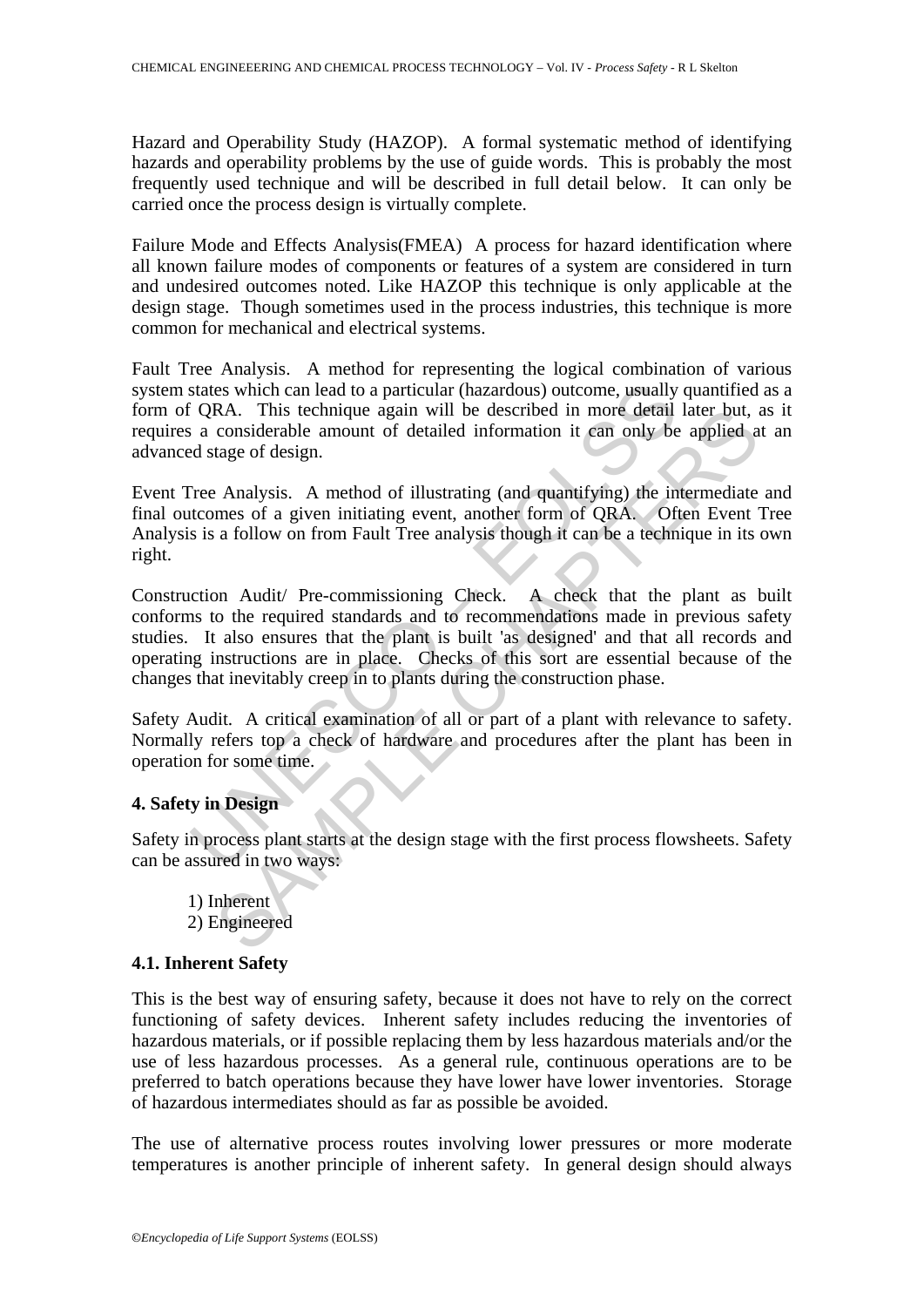Hazard and Operability Study (HAZOP). A formal systematic method of identifying hazards and operability problems by the use of guide words. This is probably the most frequently used technique and will be described in full detail below. It can only be carried once the process design is virtually complete.

Failure Mode and Effects Analysis(FMEA) A process for hazard identification where all known failure modes of components or features of a system are considered in turn and undesired outcomes noted. Like HAZOP this technique is only applicable at the design stage. Though sometimes used in the process industries, this technique is more common for mechanical and electrical systems.

Fault Tree Analysis. A method for representing the logical combination of various system states which can lead to a particular (hazardous) outcome, usually quantified as a form of QRA. This technique again will be described in more detail later but, as it requires a considerable amount of detailed information it can only be applied at an advanced stage of design.

Event Tree Analysis. A method of illustrating (and quantifying) the intermediate and final outcomes of a given initiating event, another form of QRA. Often Event Tree Analysis is a follow on from Fault Tree analysis though it can be a technique in its own right.

states which can lead to a particular (hazardous) outcome, usually CRA. This technique again will be described in more detail a considerable amount of detailed information it can only be destage of design.<br>Tree Analysis. A RA. This technique again will be described in more detail later but, it considerable amount of detailed information it can only be applied a considerable amount of detailed information it can only be applied a tage of desi Construction Audit/ Pre-commissioning Check. A check that the plant as built conforms to the required standards and to recommendations made in previous safety studies. It also ensures that the plant is built 'as designed' and that all records and operating instructions are in place. Checks of this sort are essential because of the changes that inevitably creep in to plants during the construction phase.

Safety Audit. A critical examination of all or part of a plant with relevance to safety. Normally refers top a check of hardware and procedures after the plant has been in operation for some time.

#### **4. Safety in Design**

Safety in process plant starts at the design stage with the first process flowsheets. Safety can be assured in two ways:

 1) Inherent 2) Engineered

#### **4.1. Inherent Safety**

This is the best way of ensuring safety, because it does not have to rely on the correct functioning of safety devices. Inherent safety includes reducing the inventories of hazardous materials, or if possible replacing them by less hazardous materials and/or the use of less hazardous processes. As a general rule, continuous operations are to be preferred to batch operations because they have lower have lower inventories. Storage of hazardous intermediates should as far as possible be avoided.

The use of alternative process routes involving lower pressures or more moderate temperatures is another principle of inherent safety. In general design should always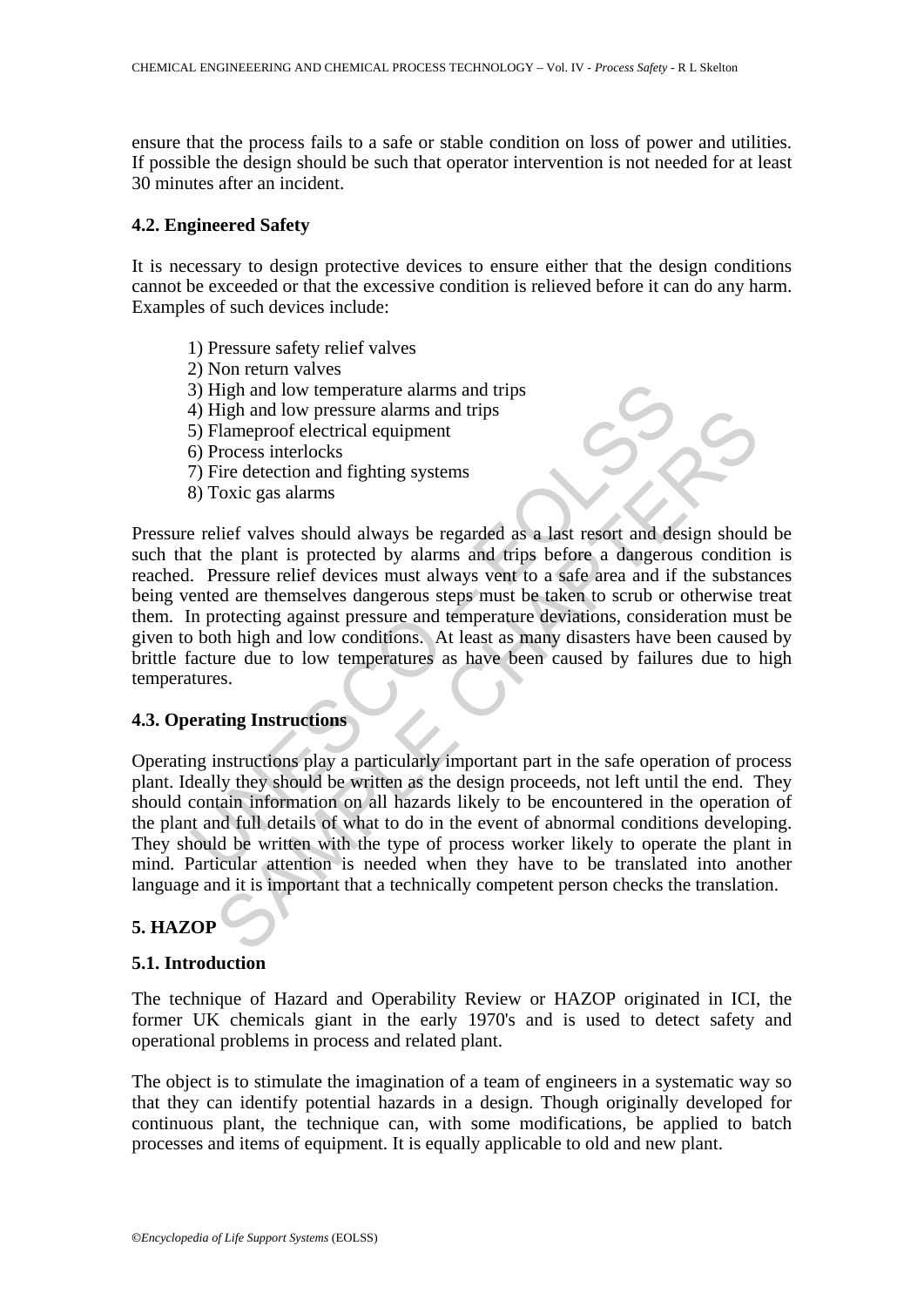ensure that the process fails to a safe or stable condition on loss of power and utilities. If possible the design should be such that operator intervention is not needed for at least 30 minutes after an incident.

#### **4.2. Engineered Safety**

It is necessary to design protective devices to ensure either that the design conditions cannot be exceeded or that the excessive condition is relieved before it can do any harm. Examples of such devices include:

- 1) Pressure safety relief valves
- 2) Non return valves
- 3) High and low temperature alarms and trips
- 4) High and low pressure alarms and trips
- 5) Flameproof electrical equipment
- 6) Process interlocks
- 7) Fire detection and fighting systems
- 8) Toxic gas alarms

3) High and low temperature alarms and trips<br>4) High and low pressure alarms and trips<br>5) Flameproof electrical equipment<br>6) Process interlocks<br>7) Fire detection and fighting systems<br>8) Toxic gas alarms<br>8) Toxic gas alarms The may dow pressure alarms and trips<br>
The proof electrical equipment<br>
Throsess interlocks<br>
The detection and fighting systems<br>
Foxic gas alarms<br>
Toxic gas alarms<br>
Toxic gas alarms<br>
Toxic gas alarms<br>
Coxic gas alarms<br>
Coxi Pressure relief valves should always be regarded as a last resort and design should be such that the plant is protected by alarms and trips before a dangerous condition is reached. Pressure relief devices must always vent to a safe area and if the substances being vented are themselves dangerous steps must be taken to scrub or otherwise treat them. In protecting against pressure and temperature deviations, consideration must be given to both high and low conditions. At least as many disasters have been caused by brittle facture due to low temperatures as have been caused by failures due to high temperatures.

#### **4.3. Operating Instructions**

Operating instructions play a particularly important part in the safe operation of process plant. Ideally they should be written as the design proceeds, not left until the end. They should contain information on all hazards likely to be encountered in the operation of the plant and full details of what to do in the event of abnormal conditions developing. They should be written with the type of process worker likely to operate the plant in mind. Particular attention is needed when they have to be translated into another language and it is important that a technically competent person checks the translation.

### **5. HAZOP**

#### **5.1. Introduction**

The technique of Hazard and Operability Review or HAZOP originated in ICI, the former UK chemicals giant in the early 1970's and is used to detect safety and operational problems in process and related plant.

The object is to stimulate the imagination of a team of engineers in a systematic way so that they can identify potential hazards in a design. Though originally developed for continuous plant, the technique can, with some modifications, be applied to batch processes and items of equipment. It is equally applicable to old and new plant.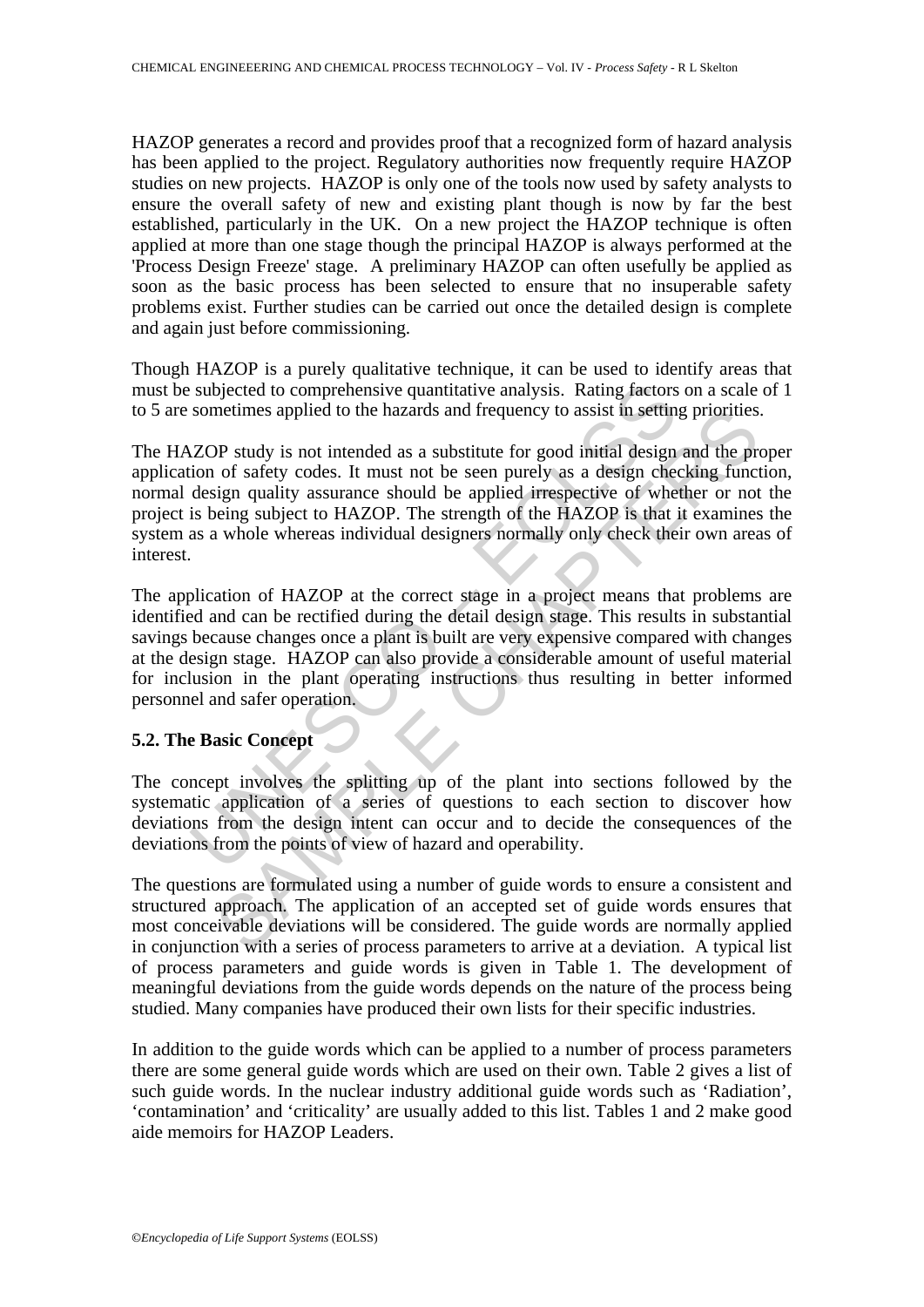HAZOP generates a record and provides proof that a recognized form of hazard analysis has been applied to the project. Regulatory authorities now frequently require HAZOP studies on new projects. HAZOP is only one of the tools now used by safety analysts to ensure the overall safety of new and existing plant though is now by far the best established, particularly in the UK. On a new project the HAZOP technique is often applied at more than one stage though the principal HAZOP is always performed at the 'Process Design Freeze' stage. A preliminary HAZOP can often usefully be applied as soon as the basic process has been selected to ensure that no insuperable safety problems exist. Further studies can be carried out once the detailed design is complete and again just before commissioning.

Though HAZOP is a purely qualitative technique, it can be used to identify areas that must be subjected to comprehensive quantitative analysis. Rating factors on a scale of 1 to 5 are sometimes applied to the hazards and frequency to assist in setting priorities.

The HAZOP study is not intended as a substitute for good initial design and the proper application of safety codes. It must not be seen purely as a design checking function, normal design quality assurance should be applied irrespective of whether or not the project is being subject to HAZOP. The strength of the HAZOP is that it examines the system as a whole whereas individual designers normally only check their own areas of interest.

subjected to comprehensive quantitative analysis. Rating factors<br>sometimes applied to the hazards and frequency to assist in settin<br>(ZOP study is not intended as a substitute for good initial design<br>ion of safety codes. It metimes applied to the hazards and frequency to assist in setting priorities<br>OP study is not intended as a substitute for good initial design and the pr<br>of safety codes. It must not be seen purely as a design checking func The application of HAZOP at the correct stage in a project means that problems are identified and can be rectified during the detail design stage. This results in substantial savings because changes once a plant is built are very expensive compared with changes at the design stage. HAZOP can also provide a considerable amount of useful material for inclusion in the plant operating instructions thus resulting in better informed personnel and safer operation.

#### **5.2. The Basic Concept**

The concept involves the splitting up of the plant into sections followed by the systematic application of a series of questions to each section to discover how deviations from the design intent can occur and to decide the consequences of the deviations from the points of view of hazard and operability.

The questions are formulated using a number of guide words to ensure a consistent and structured approach. The application of an accepted set of guide words ensures that most conceivable deviations will be considered. The guide words are normally applied in conjunction with a series of process parameters to arrive at a deviation. A typical list of process parameters and guide words is given in Table 1. The development of meaningful deviations from the guide words depends on the nature of the process being studied. Many companies have produced their own lists for their specific industries.

In addition to the guide words which can be applied to a number of process parameters there are some general guide words which are used on their own. Table 2 gives a list of such guide words. In the nuclear industry additional guide words such as 'Radiation', 'contamination' and 'criticality' are usually added to this list. Tables 1 and 2 make good aide memoirs for HAZOP Leaders.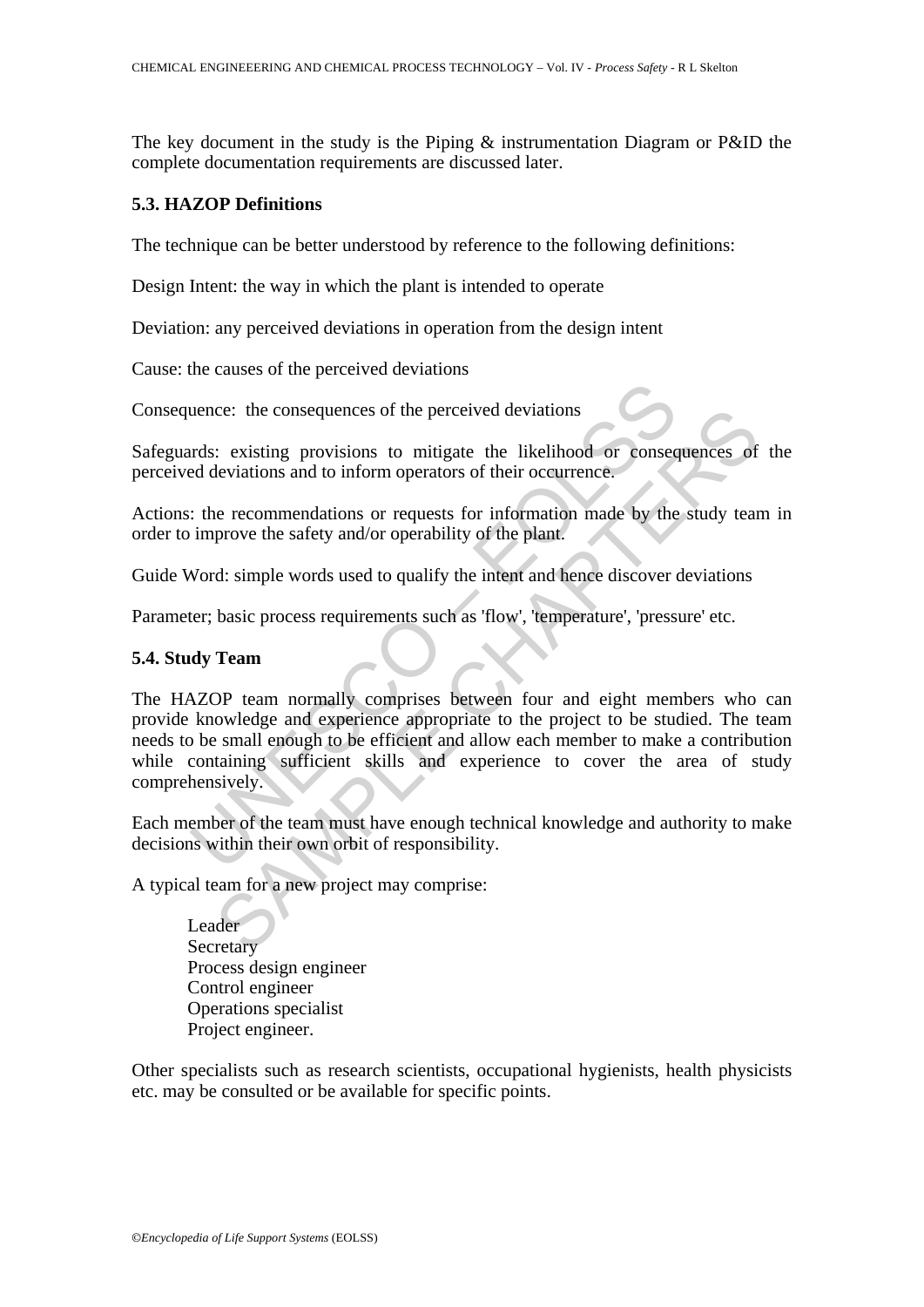The key document in the study is the Piping & instrumentation Diagram or P&ID the complete documentation requirements are discussed later.

#### **5.3. HAZOP Definitions**

The technique can be better understood by reference to the following definitions:

Design Intent: the way in which the plant is intended to operate

Deviation: any perceived deviations in operation from the design intent

Cause: the causes of the perceived deviations

Consequence: the consequences of the perceived deviations

Safeguards: existing provisions to mitigate the likelihood or consequences of the perceived deviations and to inform operators of their occurrence.

Actions: the recommendations or requests for information made by the study team in order to improve the safety and/or operability of the plant.

Guide Word: simple words used to qualify the intent and hence discover deviations

Parameter; basic process requirements such as 'flow', 'temperature', 'pressure' etc.

#### **5.4. Study Team**

metally comprises the perceived deviations<br>and the perceived deviations<br>and deviations and to inform operators of their occurrence.<br>The recommendations or requests for information made by the<br>improve the safety and/or oper ce: the consequences of the perceived deviations<br>
: existing provisions to mitigate the likelihood or consequences of<br>
eleviations and to inform operators of their occurrence.<br>
<br>
ne recommendations or requests for informat The HAZOP team normally comprises between four and eight members who can provide knowledge and experience appropriate to the project to be studied. The team needs to be small enough to be efficient and allow each member to make a contribution while containing sufficient skills and experience to cover the area of study comprehensively.

Each member of the team must have enough technical knowledge and authority to make decisions within their own orbit of responsibility.

A typical team for a new project may comprise:

 Leader Secretary Process design engineer Control engineer Operations specialist Project engineer.

Other specialists such as research scientists, occupational hygienists, health physicists etc. may be consulted or be available for specific points.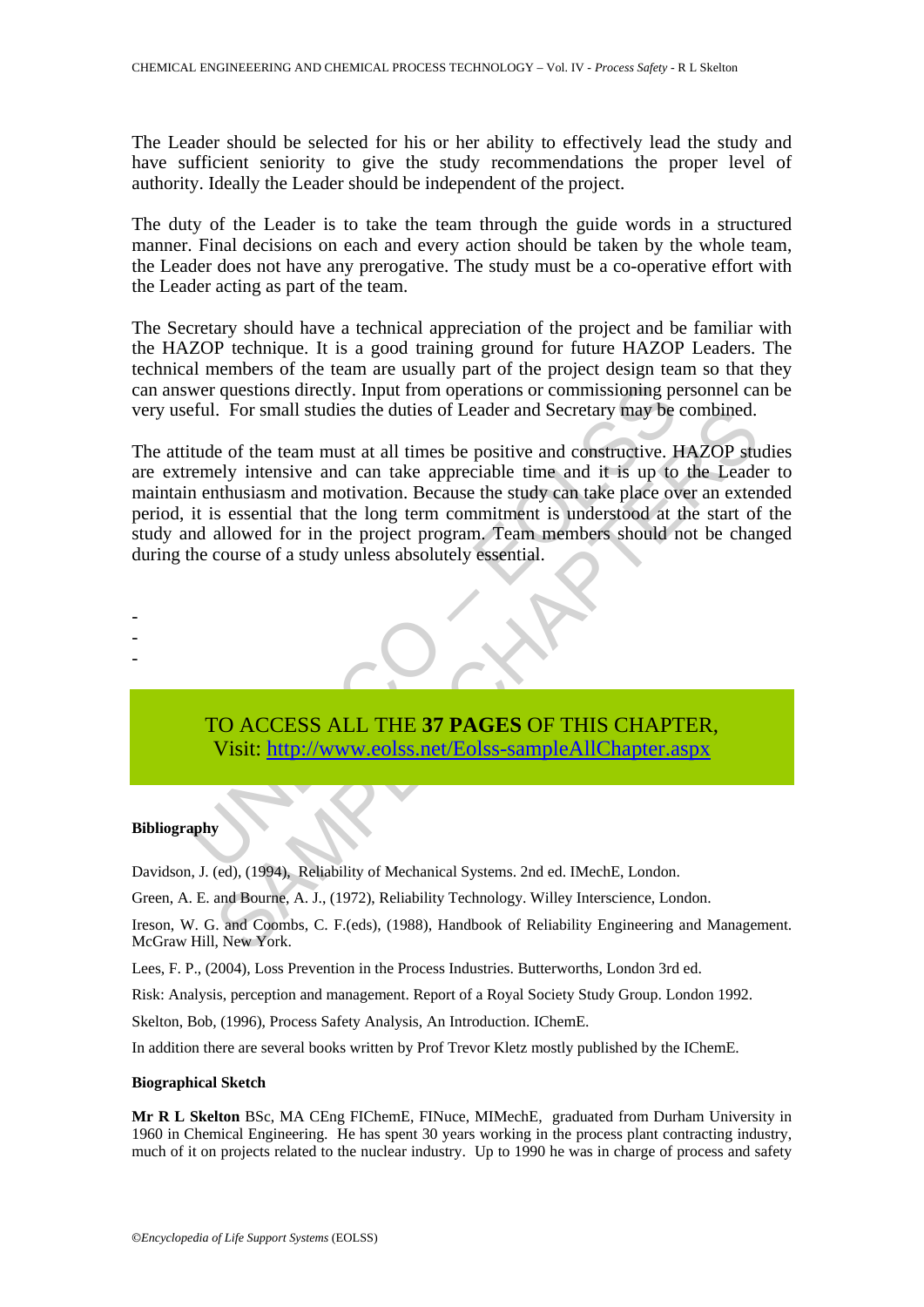The Leader should be selected for his or her ability to effectively lead the study and have sufficient seniority to give the study recommendations the proper level of authority. Ideally the Leader should be independent of the project.

The duty of the Leader is to take the team through the guide words in a structured manner. Final decisions on each and every action should be taken by the whole team, the Leader does not have any prerogative. The study must be a co-operative effort with the Leader acting as part of the team.

The Secretary should have a technical appreciation of the project and be familiar with the HAZOP technique. It is a good training ground for future HAZOP Leaders. The technical members of the team are usually part of the project design team so that they can answer questions directly. Input from operations or commissioning personnel can be very useful. For small studies the duties of Leader and Secretary may be combined.

wer questions directly. Input from operations or commissioning perful. For small studies the duties of Leader and Secretary may be tude of the team must at all times be positive and constructive. It emely intensive and can Communistics the duties of Leader and Secretary may be combined.<br>
Le of the team must at all times be positive and constructive. HAZOP study intensive and can take appreciable time and it is up to the Leade<br>
inthusiasm and The attitude of the team must at all times be positive and constructive. HAZOP studies are extremely intensive and can take appreciable time and it is up to the Leader to maintain enthusiasm and motivation. Because the study can take place over an extended period, it is essential that the long term commitment is understood at the start of the study and allowed for in the project program. Team members should not be changed during the course of a study unless absolutely essential.



#### **Bibliography**

- - -

Davidson, J. (ed), (1994), Reliability of Mechanical Systems. 2nd ed. IMechE, London.

Green, A. E. and Bourne, A. J., (1972), Reliability Technology. Willey Interscience, London.

Ireson, W. G. and Coombs, C. F.(eds), (1988), Handbook of Reliability Engineering and Management. McGraw Hill, New York.

Lees, F. P., (2004), Loss Prevention in the Process Industries. Butterworths, London 3rd ed.

Risk: Analysis, perception and management. Report of a Royal Society Study Group. London 1992.

Skelton, Bob, (1996), Process Safety Analysis, An Introduction. IChemE.

In addition there are several books written by Prof Trevor Kletz mostly published by the IChemE.

#### **Biographical Sketch**

**Mr R L Skelton** BSc, MA CEng FIChemE, FINuce, MIMechE, graduated from Durham University in 1960 in Chemical Engineering. He has spent 30 years working in the process plant contracting industry, much of it on projects related to the nuclear industry. Up to 1990 he was in charge of process and safety